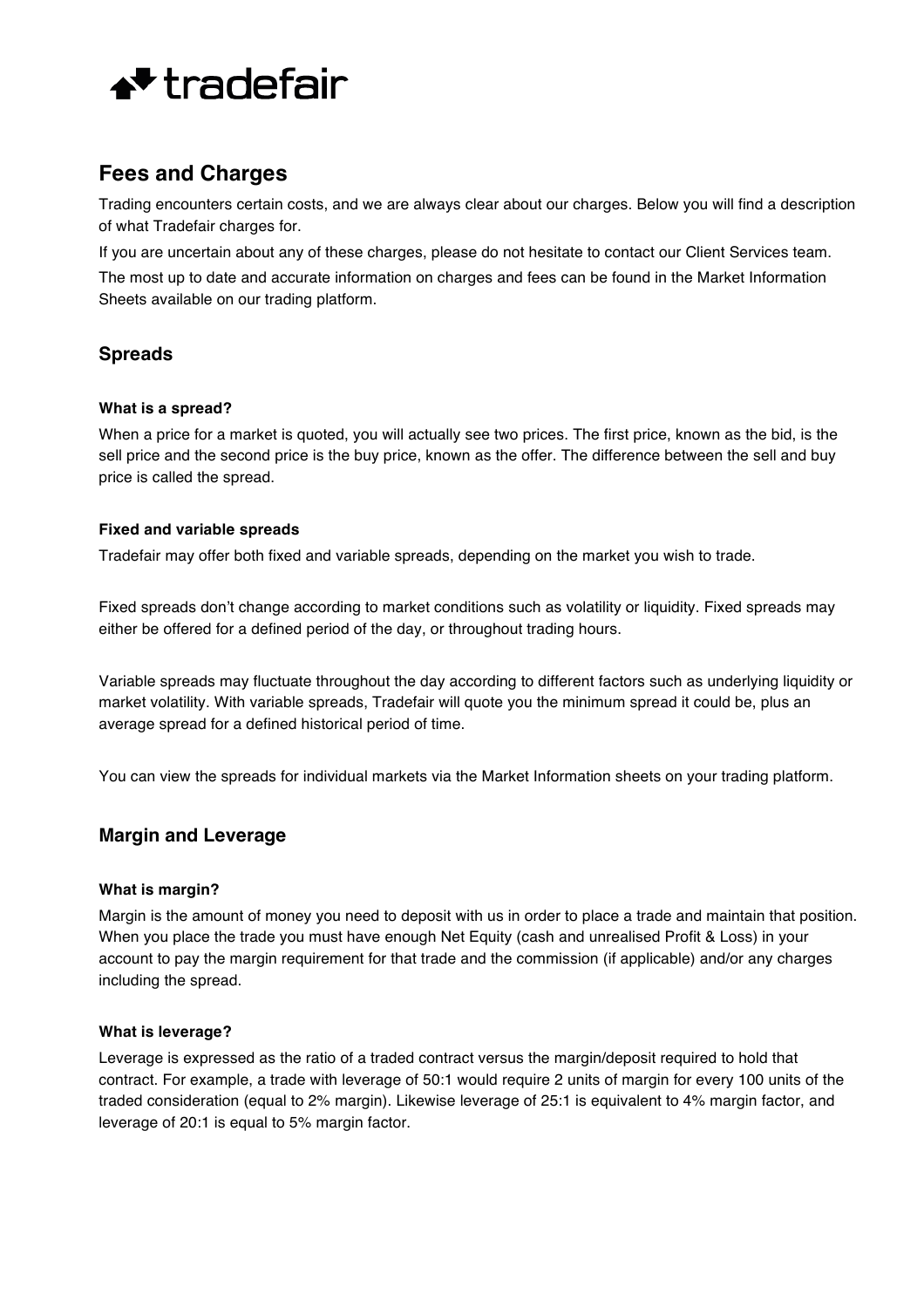

# **Fees and Charges**

Trading encounters certain costs, and we are always clear about our charges. Below you will find a description of what Tradefair charges for.

If you are uncertain about any of these charges, please do not hesitate to contact our Client Services team. The most up to date and accurate information on charges and fees can be found in the Market Information Sheets available on our trading platform.

# **Spreads**

### **What is a spread?**

When a price for a market is quoted, you will actually see two prices. The first price, known as the bid, is the sell price and the second price is the buy price, known as the offer. The difference between the sell and buy price is called the spread.

### **Fixed and variable spreads**

Tradefair may offer both fixed and variable spreads, depending on the market you wish to trade.

Fixed spreads don't change according to market conditions such as volatility or liquidity. Fixed spreads may either be offered for a defined period of the day, or throughout trading hours.

Variable spreads may fluctuate throughout the day according to different factors such as underlying liquidity or market volatility. With variable spreads, Tradefair will quote you the minimum spread it could be, plus an average spread for a defined historical period of time.

You can view the spreads for individual markets via the Market Information sheets on your trading platform.

# **Margin and Leverage**

### **What is margin?**

Margin is the amount of money you need to deposit with us in order to place a trade and maintain that position. When you place the trade you must have enough Net Equity (cash and unrealised Profit & Loss) in your account to pay the margin requirement for that trade and the commission (if applicable) and/or any charges including the spread.

### **What is leverage?**

Leverage is expressed as the ratio of a traded contract versus the margin/deposit required to hold that contract. For example, a trade with leverage of 50:1 would require 2 units of margin for every 100 units of the traded consideration (equal to 2% margin). Likewise leverage of 25:1 is equivalent to 4% margin factor, and leverage of 20:1 is equal to 5% margin factor.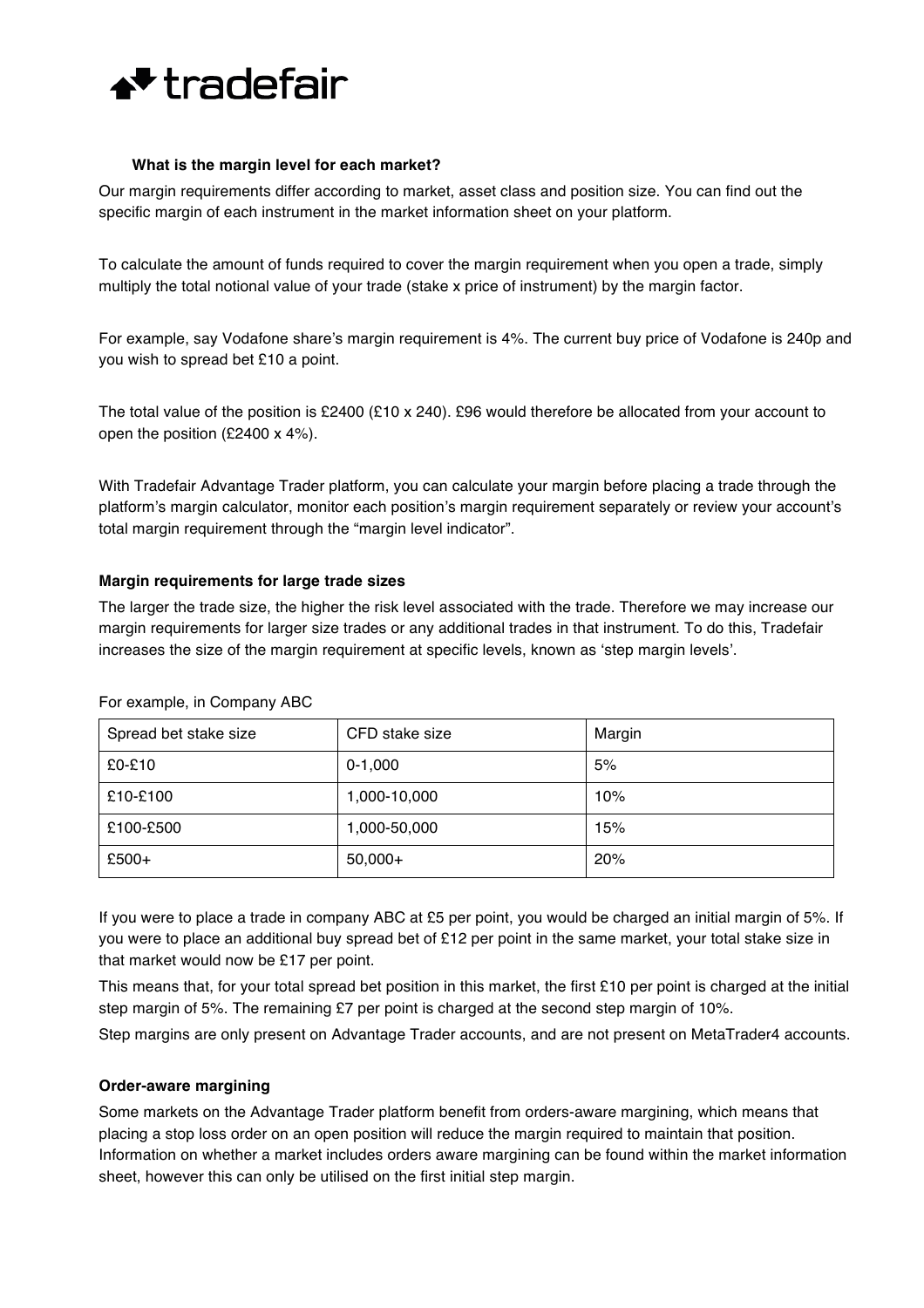

#### **What is the margin level for each market?**

Our margin requirements differ according to market, asset class and position size. You can find out the specific margin of each instrument in the market information sheet on your platform.

To calculate the amount of funds required to cover the margin requirement when you open a trade, simply multiply the total notional value of your trade (stake x price of instrument) by the margin factor.

For example, say Vodafone share's margin requirement is 4%. The current buy price of Vodafone is 240p and you wish to spread bet £10 a point.

The total value of the position is £2400 (£10 x 240). £96 would therefore be allocated from your account to open the position (£2400 x 4%).

With Tradefair Advantage Trader platform, you can calculate your margin before placing a trade through the platform's margin calculator, monitor each position's margin requirement separately or review your account's total margin requirement through the "margin level indicator".

#### **Margin requirements for large trade sizes**

The larger the trade size, the higher the risk level associated with the trade. Therefore we may increase our margin requirements for larger size trades or any additional trades in that instrument. To do this, Tradefair increases the size of the margin requirement at specific levels, known as 'step margin levels'.

| Spread bet stake size | CFD stake size | Margin |
|-----------------------|----------------|--------|
| £0-£10                | $0-1,000$      | 5%     |
| £10-£100              | 1,000-10,000   | 10%    |
| £100-£500             | 1,000-50,000   | 15%    |
| £500+                 | $50,000+$      | 20%    |

For example, in Company ABC

If you were to place a trade in company ABC at £5 per point, you would be charged an initial margin of 5%. If you were to place an additional buy spread bet of £12 per point in the same market, your total stake size in that market would now be £17 per point.

This means that, for your total spread bet position in this market, the first £10 per point is charged at the initial step margin of 5%. The remaining £7 per point is charged at the second step margin of 10%.

Step margins are only present on Advantage Trader accounts, and are not present on MetaTrader4 accounts.

### **Order-aware margining**

Some markets on the Advantage Trader platform benefit from orders-aware margining, which means that placing a stop loss order on an open position will reduce the margin required to maintain that position. Information on whether a market includes orders aware margining can be found within the market information sheet, however this can only be utilised on the first initial step margin.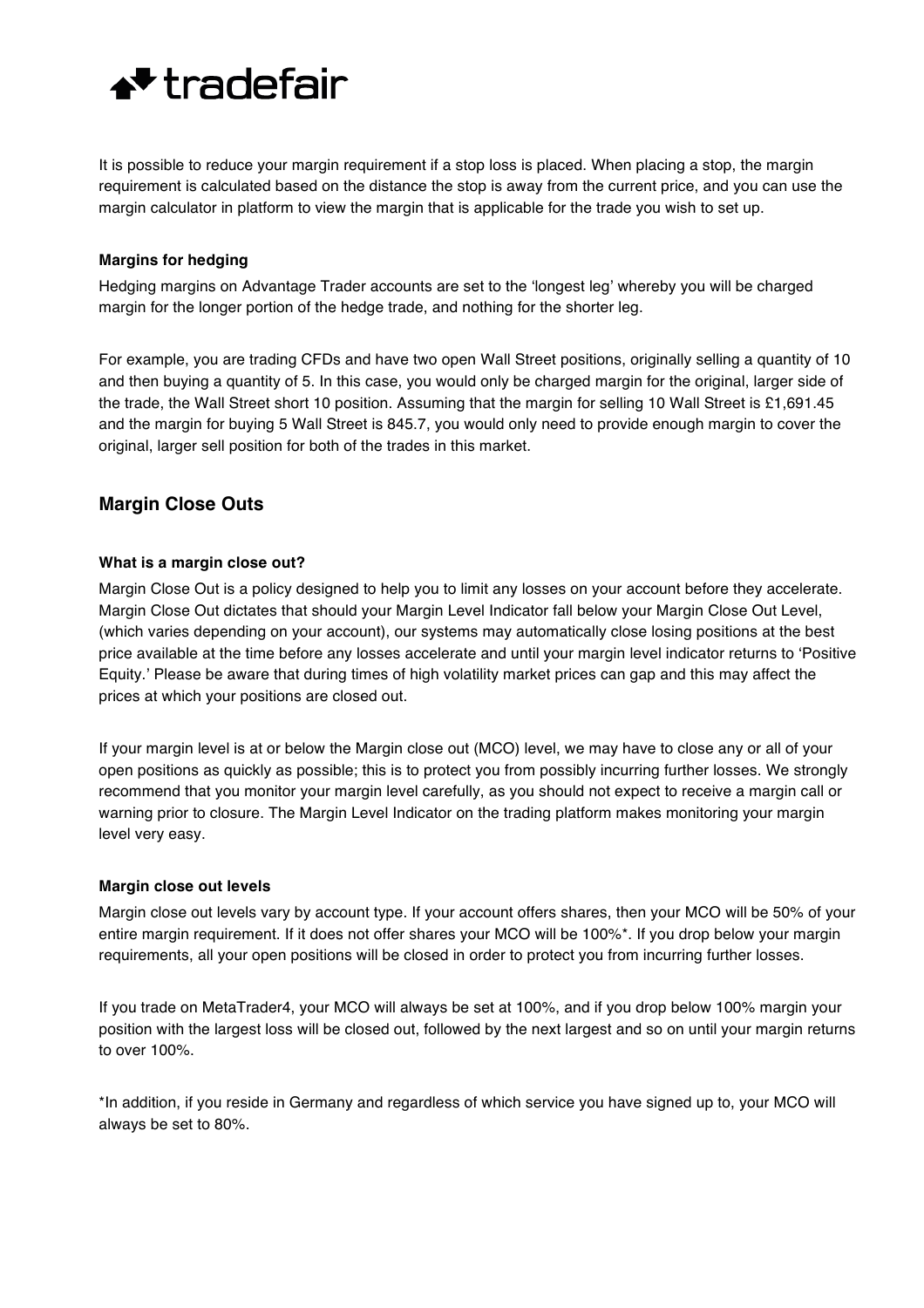

It is possible to reduce your margin requirement if a stop loss is placed. When placing a stop, the margin requirement is calculated based on the distance the stop is away from the current price, and you can use the margin calculator in platform to view the margin that is applicable for the trade you wish to set up.

### **Margins for hedging**

Hedging margins on Advantage Trader accounts are set to the 'longest leg' whereby you will be charged margin for the longer portion of the hedge trade, and nothing for the shorter leg.

For example, you are trading CFDs and have two open Wall Street positions, originally selling a quantity of 10 and then buying a quantity of 5. In this case, you would only be charged margin for the original, larger side of the trade, the Wall Street short 10 position. Assuming that the margin for selling 10 Wall Street is £1,691.45 and the margin for buying 5 Wall Street is 845.7, you would only need to provide enough margin to cover the original, larger sell position for both of the trades in this market.

## **Margin Close Outs**

#### **What is a margin close out?**

Margin Close Out is a policy designed to help you to limit any losses on your account before they accelerate. Margin Close Out dictates that should your Margin Level Indicator fall below your Margin Close Out Level, (which varies depending on your account), our systems may automatically close losing positions at the best price available at the time before any losses accelerate and until your margin level indicator returns to 'Positive Equity.' Please be aware that during times of high volatility market prices can gap and this may affect the prices at which your positions are closed out.

If your margin level is at or below the Margin close out (MCO) level, we may have to close any or all of your open positions as quickly as possible; this is to protect you from possibly incurring further losses. We strongly recommend that you monitor your margin level carefully, as you should not expect to receive a margin call or warning prior to closure. The Margin Level Indicator on the trading platform makes monitoring your margin level very easy.

#### **Margin close out levels**

Margin close out levels vary by account type. If your account offers shares, then your MCO will be 50% of your entire margin requirement. If it does not offer shares your MCO will be 100%\*. If you drop below your margin requirements, all your open positions will be closed in order to protect you from incurring further losses.

If you trade on MetaTrader4, your MCO will always be set at 100%, and if you drop below 100% margin your position with the largest loss will be closed out, followed by the next largest and so on until your margin returns to over 100%.

\*In addition, if you reside in Germany and regardless of which service you have signed up to, your MCO will always be set to 80%.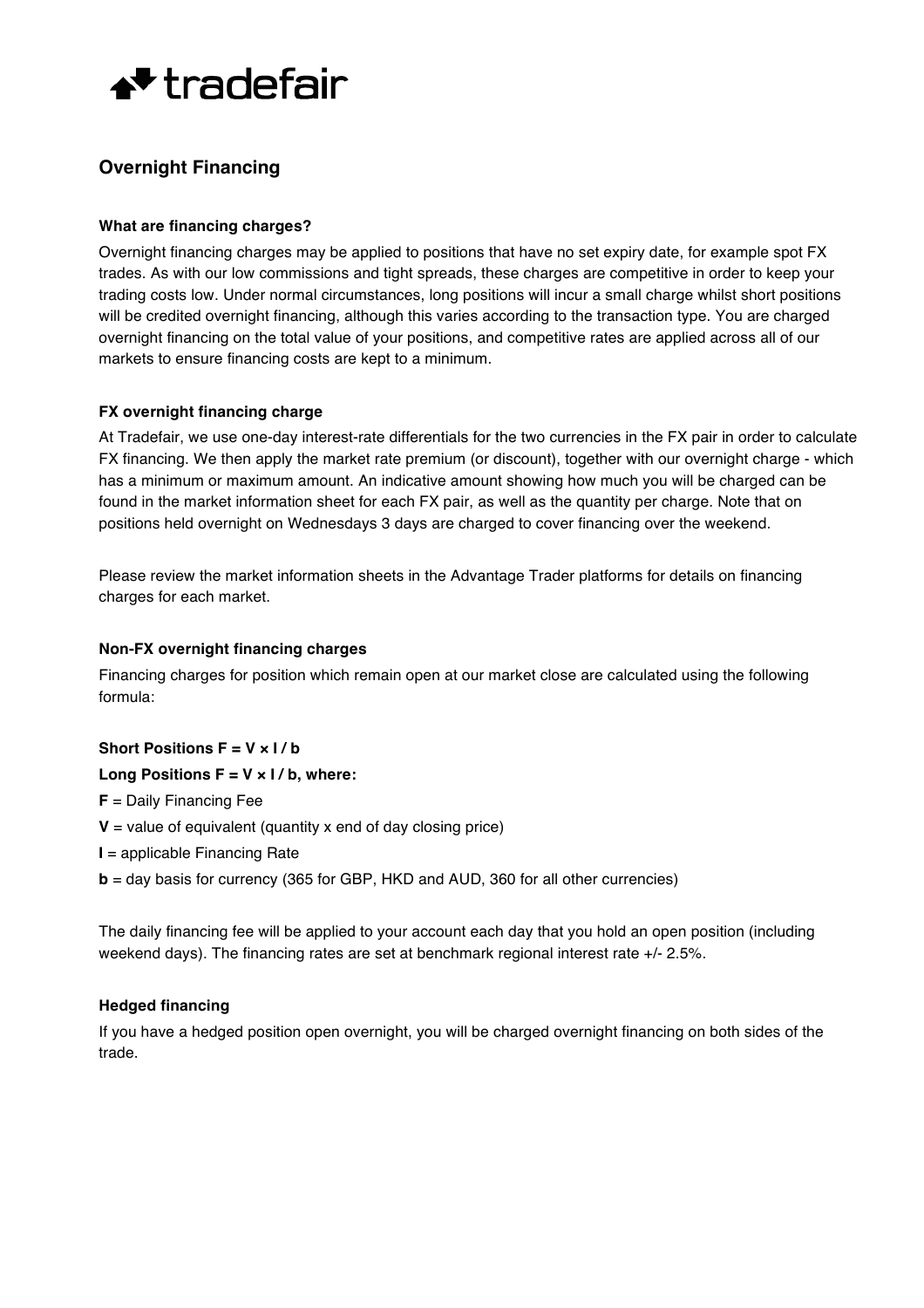

# **Overnight Financing**

### **What are financing charges?**

Overnight financing charges may be applied to positions that have no set expiry date, for example spot FX trades. As with our low commissions and tight spreads, these charges are competitive in order to keep your trading costs low. Under normal circumstances, long positions will incur a small charge whilst short positions will be credited overnight financing, although this varies according to the transaction type. You are charged overnight financing on the total value of your positions, and competitive rates are applied across all of our markets to ensure financing costs are kept to a minimum.

### **FX overnight financing charge**

At Tradefair, we use one-day interest-rate differentials for the two currencies in the FX pair in order to calculate FX financing. We then apply the market rate premium (or discount), together with our overnight charge - which has a minimum or maximum amount. An indicative amount showing how much you will be charged can be found in the market information sheet for each FX pair, as well as the quantity per charge. Note that on positions held overnight on Wednesdays 3 days are charged to cover financing over the weekend.

Please review the market information sheets in the Advantage Trader platforms for details on financing charges for each market.

### **Non-FX overnight financing charges**

Financing charges for position which remain open at our market close are calculated using the following formula:

### **Short Positions F = V × I / b**

### **Long Positions F = V × I / b, where:**

**F** = Daily Financing Fee

- $V =$  value of equivalent (quantity x end of day closing price)
- **I** = applicable Financing Rate
- **b** = day basis for currency (365 for GBP, HKD and AUD, 360 for all other currencies)

The daily financing fee will be applied to your account each day that you hold an open position (including weekend days). The financing rates are set at benchmark regional interest rate +/- 2.5%.

### **Hedged financing**

If you have a hedged position open overnight, you will be charged overnight financing on both sides of the trade.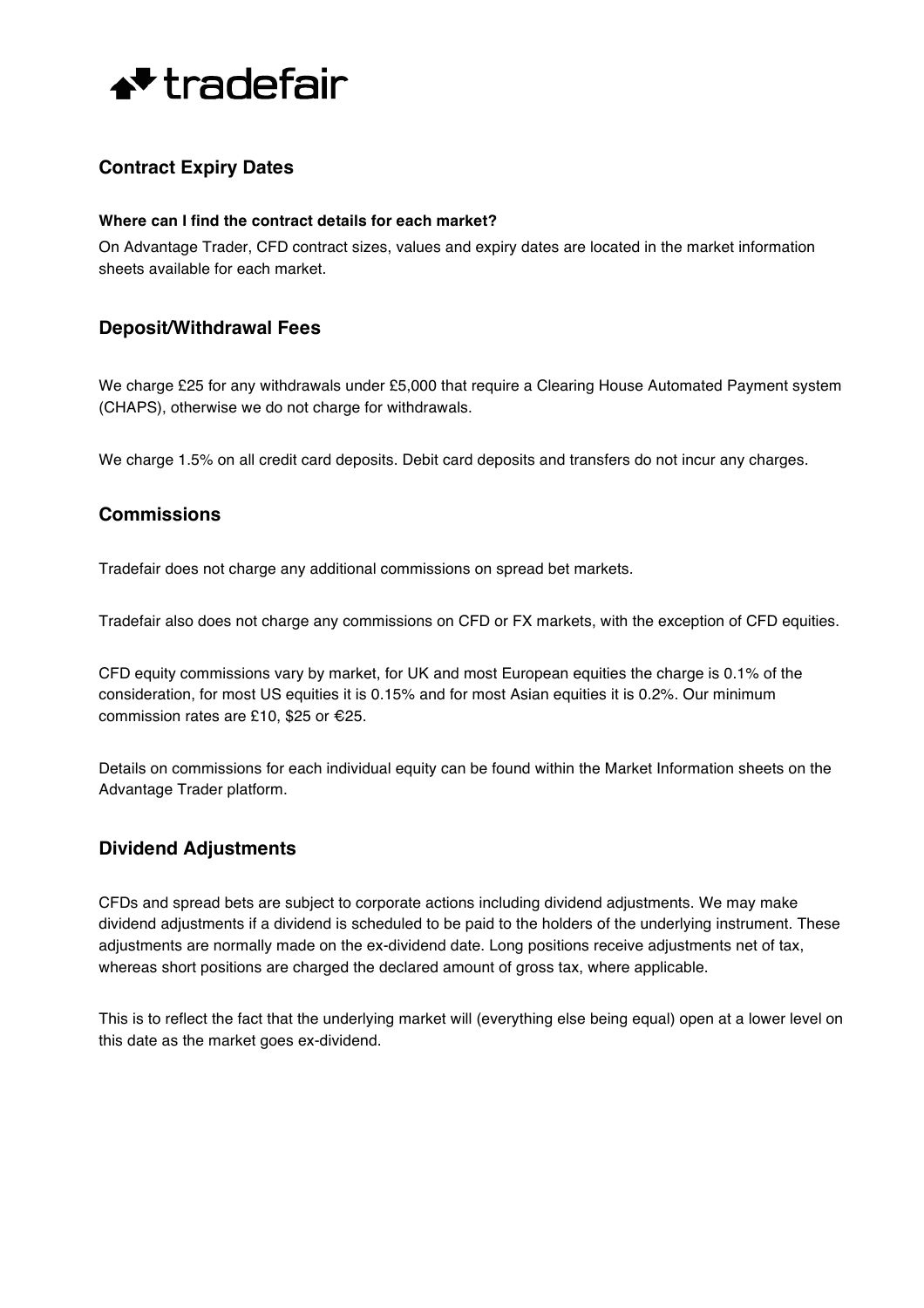

# **Contract Expiry Dates**

#### **Where can I find the contract details for each market?**

On Advantage Trader, CFD contract sizes, values and expiry dates are located in the market information sheets available for each market.

## **Deposit/Withdrawal Fees**

We charge £25 for any withdrawals under £5,000 that require a Clearing House Automated Payment system (CHAPS), otherwise we do not charge for withdrawals.

We charge 1.5% on all credit card deposits. Debit card deposits and transfers do not incur any charges.

## **Commissions**

Tradefair does not charge any additional commissions on spread bet markets.

Tradefair also does not charge any commissions on CFD or FX markets, with the exception of CFD equities.

CFD equity commissions vary by market, for UK and most European equities the charge is 0.1% of the consideration, for most US equities it is 0.15% and for most Asian equities it is 0.2%. Our minimum commission rates are £10, \$25 or €25.

Details on commissions for each individual equity can be found within the Market Information sheets on the Advantage Trader platform.

# **Dividend Adjustments**

CFDs and spread bets are subject to corporate actions including dividend adjustments. We may make dividend adjustments if a dividend is scheduled to be paid to the holders of the underlying instrument. These adjustments are normally made on the ex-dividend date. Long positions receive adjustments net of tax, whereas short positions are charged the declared amount of gross tax, where applicable.

This is to reflect the fact that the underlying market will (everything else being equal) open at a lower level on this date as the market goes ex-dividend.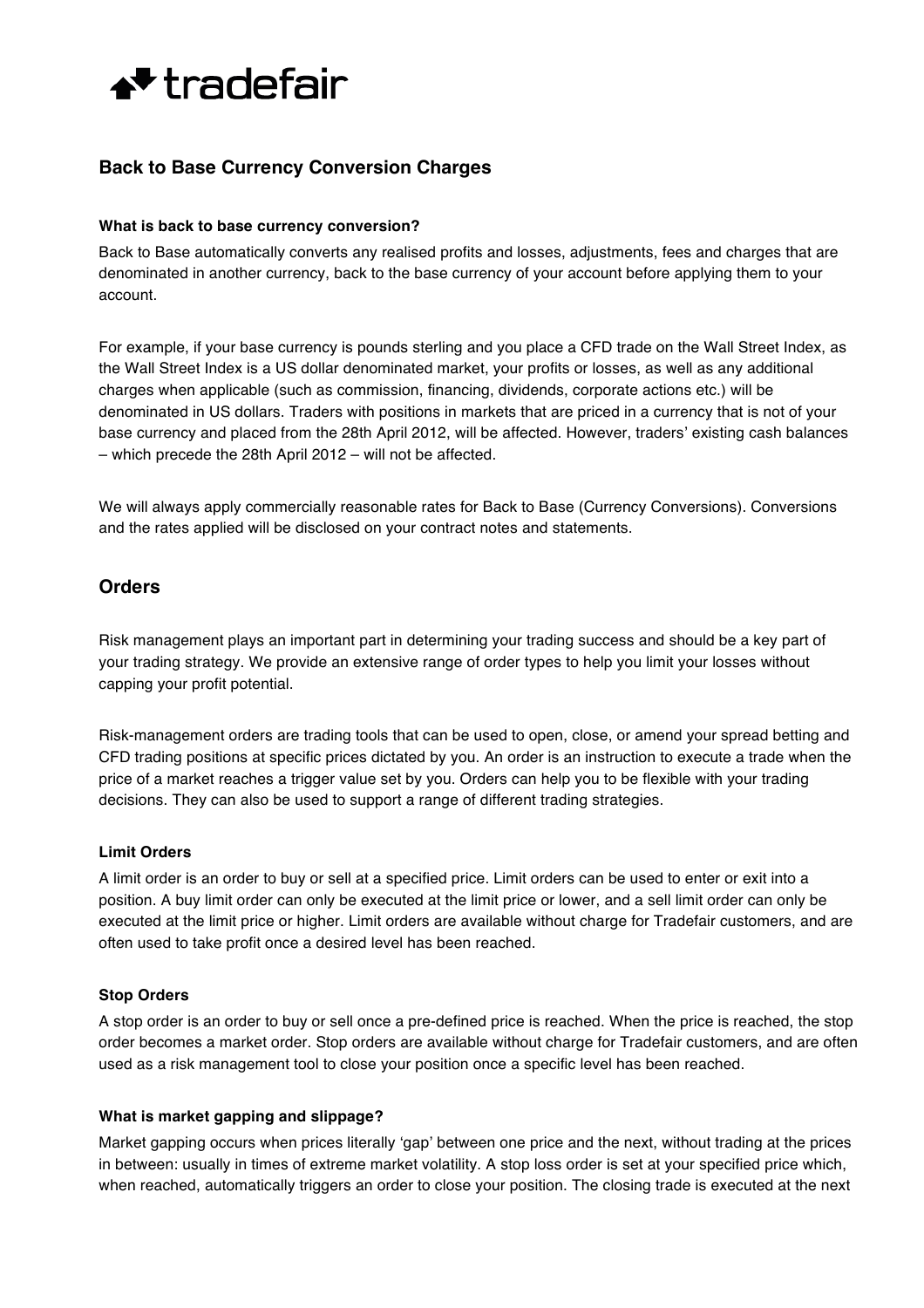

# **Back to Base Currency Conversion Charges**

#### **What is back to base currency conversion?**

Back to Base automatically converts any realised profits and losses, adjustments, fees and charges that are denominated in another currency, back to the base currency of your account before applying them to your account.

For example, if your base currency is pounds sterling and you place a CFD trade on the Wall Street Index, as the Wall Street Index is a US dollar denominated market, your profits or losses, as well as any additional charges when applicable (such as commission, financing, dividends, corporate actions etc.) will be denominated in US dollars. Traders with positions in markets that are priced in a currency that is not of your base currency and placed from the 28th April 2012, will be affected. However, traders' existing cash balances – which precede the 28th April 2012 – will not be affected.

We will always apply commercially reasonable rates for Back to Base (Currency Conversions). Conversions and the rates applied will be disclosed on your contract notes and statements.

## **Orders**

Risk management plays an important part in determining your trading success and should be a key part of your trading strategy. We provide an extensive range of order types to help you limit your losses without capping your profit potential.

Risk-management orders are trading tools that can be used to open, close, or amend your spread betting and CFD trading positions at specific prices dictated by you. An order is an instruction to execute a trade when the price of a market reaches a trigger value set by you. Orders can help you to be flexible with your trading decisions. They can also be used to support a range of different trading strategies.

### **Limit Orders**

A limit order is an order to buy or sell at a specified price. Limit orders can be used to enter or exit into a position. A buy limit order can only be executed at the limit price or lower, and a sell limit order can only be executed at the limit price or higher. Limit orders are available without charge for Tradefair customers, and are often used to take profit once a desired level has been reached.

### **Stop Orders**

A stop order is an order to buy or sell once a pre-defined price is reached. When the price is reached, the stop order becomes a market order. Stop orders are available without charge for Tradefair customers, and are often used as a risk management tool to close your position once a specific level has been reached.

### **What is market gapping and slippage?**

Market gapping occurs when prices literally 'gap' between one price and the next, without trading at the prices in between: usually in times of extreme market volatility. A stop loss order is set at your specified price which, when reached, automatically triggers an order to close your position. The closing trade is executed at the next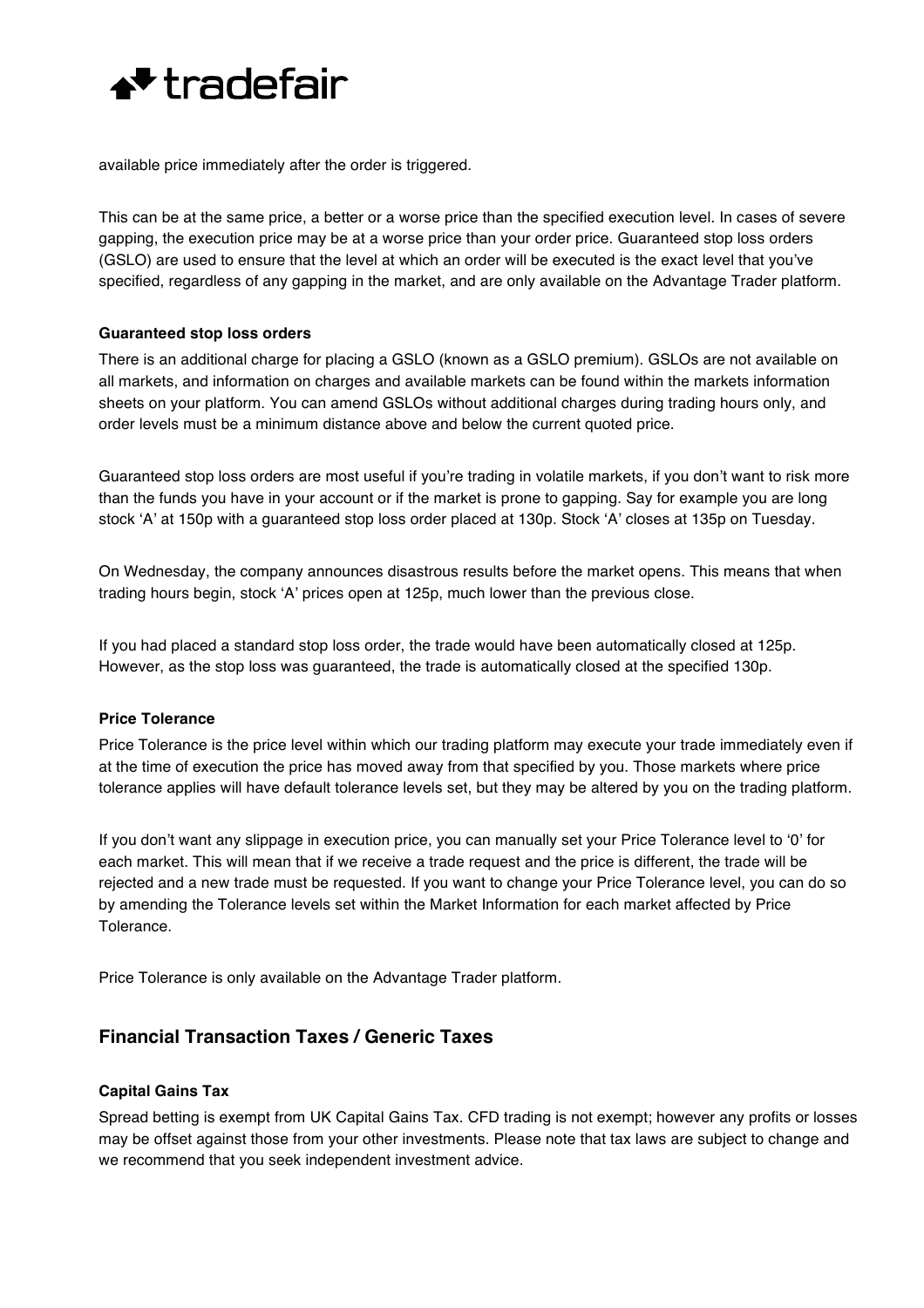

available price immediately after the order is triggered.

This can be at the same price, a better or a worse price than the specified execution level. In cases of severe gapping, the execution price may be at a worse price than your order price. Guaranteed stop loss orders (GSLO) are used to ensure that the level at which an order will be executed is the exact level that you've specified, regardless of any gapping in the market, and are only available on the Advantage Trader platform.

#### **Guaranteed stop loss orders**

There is an additional charge for placing a GSLO (known as a GSLO premium). GSLOs are not available on all markets, and information on charges and available markets can be found within the markets information sheets on your platform. You can amend GSLOs without additional charges during trading hours only, and order levels must be a minimum distance above and below the current quoted price.

Guaranteed stop loss orders are most useful if you're trading in volatile markets, if you don't want to risk more than the funds you have in your account or if the market is prone to gapping. Say for example you are long stock 'A' at 150p with a guaranteed stop loss order placed at 130p. Stock 'A' closes at 135p on Tuesday.

On Wednesday, the company announces disastrous results before the market opens. This means that when trading hours begin, stock 'A' prices open at 125p, much lower than the previous close.

If you had placed a standard stop loss order, the trade would have been automatically closed at 125p. However, as the stop loss was guaranteed, the trade is automatically closed at the specified 130p.

#### **Price Tolerance**

Price Tolerance is the price level within which our trading platform may execute your trade immediately even if at the time of execution the price has moved away from that specified by you. Those markets where price tolerance applies will have default tolerance levels set, but they may be altered by you on the trading platform.

If you don't want any slippage in execution price, you can manually set your Price Tolerance level to '0' for each market. This will mean that if we receive a trade request and the price is different, the trade will be rejected and a new trade must be requested. If you want to change your Price Tolerance level, you can do so by amending the Tolerance levels set within the Market Information for each market affected by Price Tolerance.

Price Tolerance is only available on the Advantage Trader platform.

# **Financial Transaction Taxes / Generic Taxes**

### **Capital Gains Tax**

Spread betting is exempt from UK Capital Gains Tax. CFD trading is not exempt; however any profits or losses may be offset against those from your other investments. Please note that tax laws are subject to change and we recommend that you seek independent investment advice.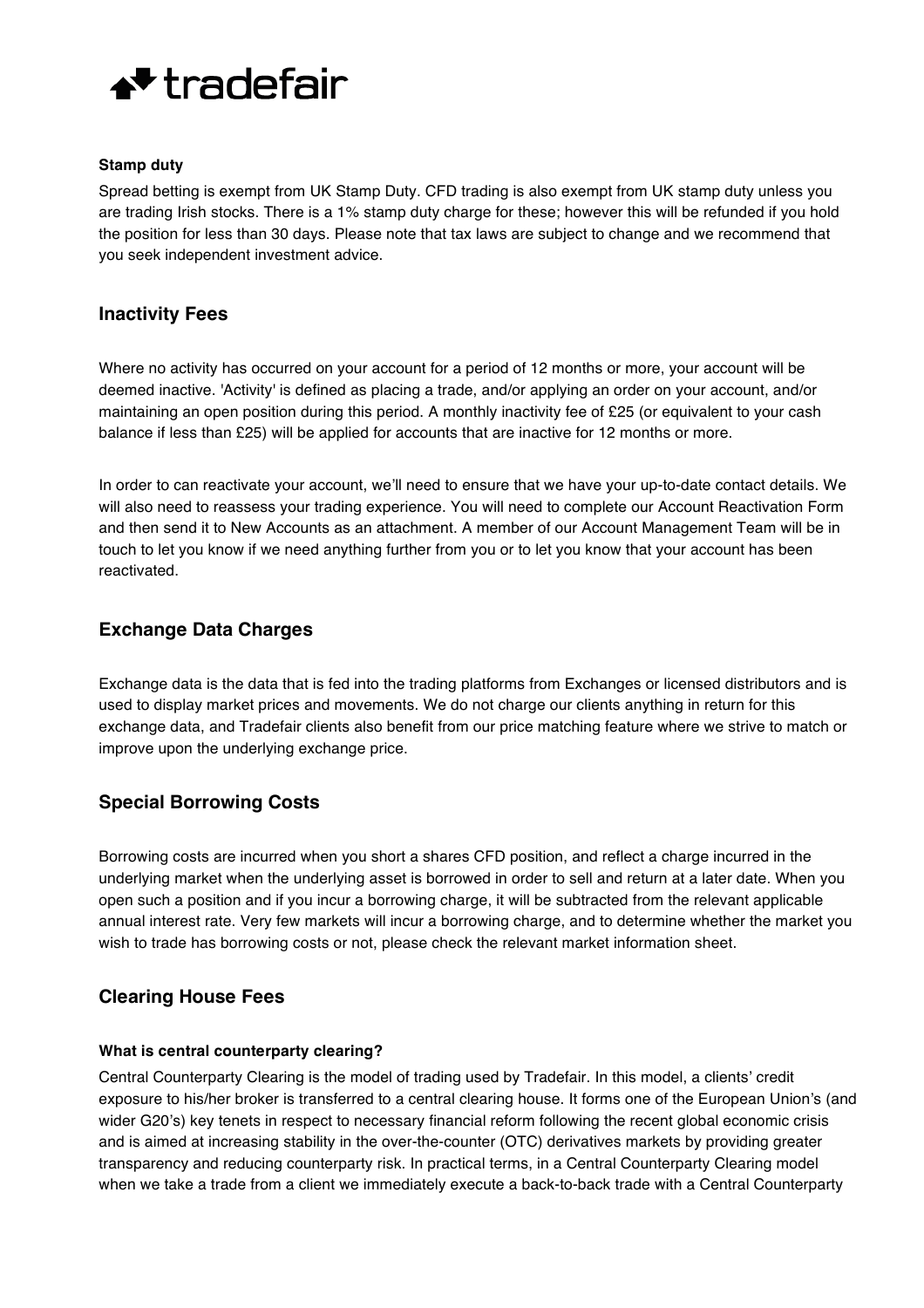

#### **Stamp duty**

Spread betting is exempt from UK Stamp Duty. CFD trading is also exempt from UK stamp duty unless you are trading Irish stocks. There is a 1% stamp duty charge for these; however this will be refunded if you hold the position for less than 30 days. Please note that tax laws are subject to change and we recommend that you seek independent investment advice.

## **Inactivity Fees**

Where no activity has occurred on your account for a period of 12 months or more, your account will be deemed inactive. 'Activity' is defined as placing a trade, and/or applying an order on your account, and/or maintaining an open position during this period. A monthly inactivity fee of £25 (or equivalent to your cash balance if less than £25) will be applied for accounts that are inactive for 12 months or more.

In order to can reactivate your account, we'll need to ensure that we have your up-to-date contact details. We will also need to reassess your trading experience. You will need to complete our Account Reactivation Form and then send it to New Accounts as an attachment. A member of our Account Management Team will be in touch to let you know if we need anything further from you or to let you know that your account has been reactivated.

# **Exchange Data Charges**

Exchange data is the data that is fed into the trading platforms from Exchanges or licensed distributors and is used to display market prices and movements. We do not charge our clients anything in return for this exchange data, and Tradefair clients also benefit from our price matching feature where we strive to match or improve upon the underlying exchange price.

# **Special Borrowing Costs**

Borrowing costs are incurred when you short a shares CFD position, and reflect a charge incurred in the underlying market when the underlying asset is borrowed in order to sell and return at a later date. When you open such a position and if you incur a borrowing charge, it will be subtracted from the relevant applicable annual interest rate. Very few markets will incur a borrowing charge, and to determine whether the market you wish to trade has borrowing costs or not, please check the relevant market information sheet.

## **Clearing House Fees**

### **What is central counterparty clearing?**

Central Counterparty Clearing is the model of trading used by Tradefair. In this model, a clients' credit exposure to his/her broker is transferred to a central clearing house. It forms one of the European Union's (and wider G20's) key tenets in respect to necessary financial reform following the recent global economic crisis and is aimed at increasing stability in the over-the-counter (OTC) derivatives markets by providing greater transparency and reducing counterparty risk. In practical terms, in a Central Counterparty Clearing model when we take a trade from a client we immediately execute a back-to-back trade with a Central Counterparty